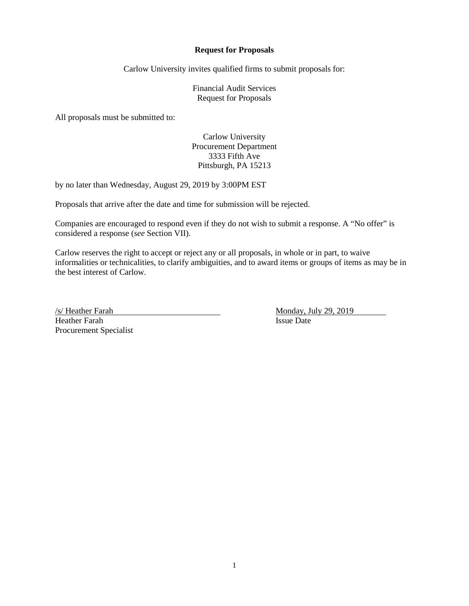#### **Request for Proposals**

Carlow University invites qualified firms to submit proposals for:

Financial Audit Services Request for Proposals

All proposals must be submitted to:

Carlow University Procurement Department 3333 Fifth Ave Pittsburgh, PA 15213

by no later than Wednesday, August 29, 2019 by 3:00PM EST

Proposals that arrive after the date and time for submission will be rejected.

Companies are encouraged to respond even if they do not wish to submit a response. A "No offer" is considered a response (*see* Section VII).

Carlow reserves the right to accept or reject any or all proposals, in whole or in part, to waive informalities or technicalities, to clarify ambiguities, and to award items or groups of items as may be in the best interest of Carlow.

Heather Farah Procurement Specialist

Archives Assume Tarah Monday, July 29, 2019<br>
Heather Farah Monday, July 29, 2019<br>
Issue Date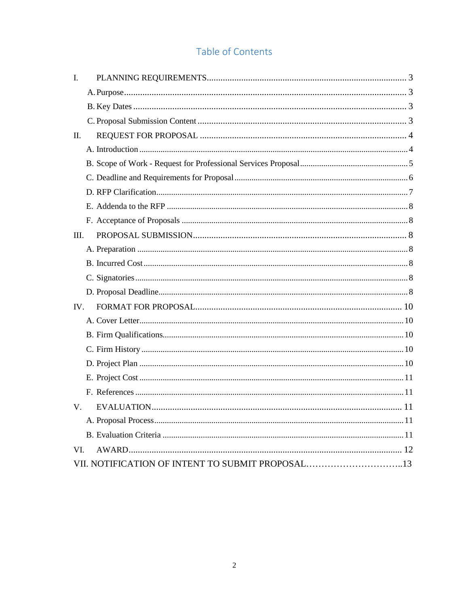# Table of Contents

| L.   |                                                  |  |
|------|--------------------------------------------------|--|
|      |                                                  |  |
|      |                                                  |  |
|      |                                                  |  |
| П.   |                                                  |  |
|      |                                                  |  |
|      |                                                  |  |
|      |                                                  |  |
|      |                                                  |  |
|      |                                                  |  |
|      |                                                  |  |
| III. |                                                  |  |
|      |                                                  |  |
|      |                                                  |  |
|      |                                                  |  |
|      |                                                  |  |
| IV.  |                                                  |  |
|      |                                                  |  |
|      |                                                  |  |
|      |                                                  |  |
|      |                                                  |  |
|      |                                                  |  |
|      |                                                  |  |
| V.   |                                                  |  |
|      |                                                  |  |
|      |                                                  |  |
| VI.  |                                                  |  |
|      | VII. NOTIFICATION OF INTENT TO SUBMIT PROPOSAL13 |  |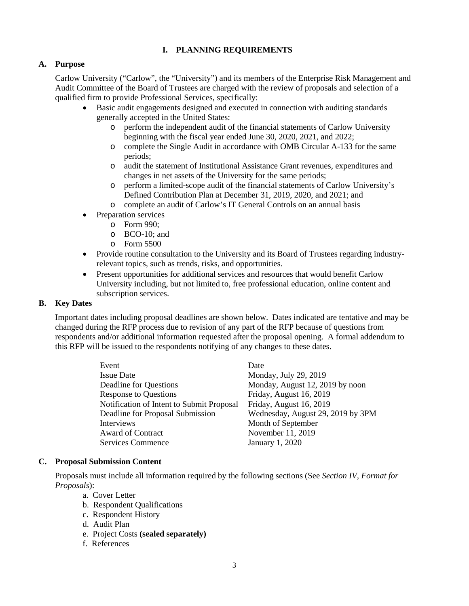# **I. PLANNING REQUIREMENTS**

## <span id="page-2-1"></span><span id="page-2-0"></span>**A. Purpose**

Carlow University ("Carlow", the "University") and its members of the Enterprise Risk Management and Audit Committee of the Board of Trustees are charged with the review of proposals and selection of a qualified firm to provide Professional Services, specifically:

- Basic audit engagements designed and executed in connection with auditing standards generally accepted in the United States:
	- o perform the independent audit of the financial statements of Carlow University beginning with the fiscal year ended June 30, 2020, 2021, and 2022;
	- o complete the Single Audit in accordance with OMB Circular A-133 for the same periods;
	- o audit the statement of Institutional Assistance Grant revenues, expenditures and changes in net assets of the University for the same periods;
	- o perform a limited-scope audit of the financial statements of Carlow University's Defined Contribution Plan at December 31, 2019, 2020, and 2021; and
	- o complete an audit of Carlow's IT General Controls on an annual basis
	- Preparation services
		- o Form 990;
		- o BCO-10; and
		- o Form 5500
- Provide routine consultation to the University and its Board of Trustees regarding industryrelevant topics, such as trends, risks, and opportunities.
- Present opportunities for additional services and resources that would benefit Carlow University including, but not limited to, free professional education, online content and subscription services.

#### <span id="page-2-2"></span>**B. Key Dates**

Important dates including proposal deadlines are shown below. Dates indicated are tentative and may be changed during the RFP process due to revision of any part of the RFP because of questions from respondents and/or additional information requested after the proposal opening. A formal addendum to this RFP will be issued to the respondents notifying of any changes to these dates.

| Event                                     | Date                              |
|-------------------------------------------|-----------------------------------|
| <b>Issue Date</b>                         | Monday, July 29, 2019             |
| Deadline for Questions                    | Monday, August 12, 2019 by noon   |
| <b>Response to Questions</b>              | Friday, August 16, 2019           |
| Notification of Intent to Submit Proposal | Friday, August 16, 2019           |
| Deadline for Proposal Submission          | Wednesday, August 29, 2019 by 3PM |
| <b>Interviews</b>                         | Month of September                |
| <b>Award of Contract</b>                  | November 11, 2019                 |
| <b>Services Commence</b>                  | January 1, 2020                   |

## **C. Proposal Submission Content**

<span id="page-2-3"></span>Proposals must include all information required by the following sections (See *Section IV, Format for Proposals*):

- a. Cover Letter
- b. Respondent Qualifications
- c. Respondent History
- d. Audit Plan
- e. Project Costs **(sealed separately)**
- f. References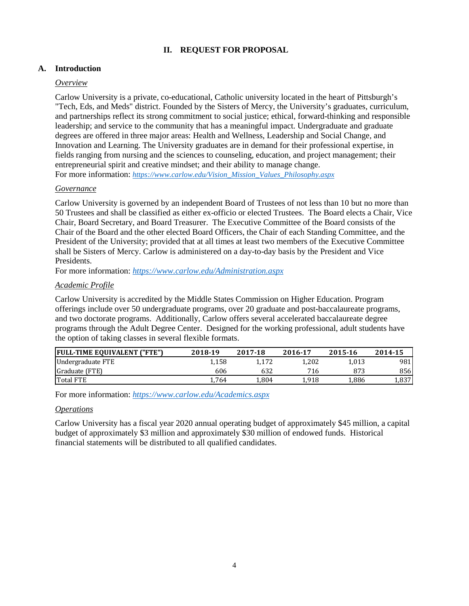# **II. REQUEST FOR PROPOSAL**

# <span id="page-3-1"></span><span id="page-3-0"></span>**A. Introduction**

## *Overview*

Carlow University is a private, co-educational, Catholic university located in the heart of Pittsburgh's "Tech, Eds, and Meds" district. Founded by the Sisters of Mercy, the University's graduates, curriculum, and partnerships reflect its strong commitment to social justice; ethical, forward-thinking and responsible leadership; and service to the community that has a meaningful impact. Undergraduate and graduate degrees are offered in three major areas: Health and Wellness, Leadership and Social Change, and Innovation and Learning. The University graduates are in demand for their professional expertise, in fields ranging from nursing and the sciences to counseling, education, and project management; their entrepreneurial spirit and creative mindset; and their ability to manage change. For more information: *[https://www.carlow.edu/Vision\\_Mission\\_Values\\_Philosophy.aspx](https://www.carlow.edu/Vision_Mission_Values_Philosophy.aspx)*

## *Governance*

Carlow University is governed by an independent Board of Trustees of not less than 10 but no more than 50 Trustees and shall be classified as either ex-officio or elected Trustees. The Board elects a Chair, Vice Chair, Board Secretary, and Board Treasurer. The Executive Committee of the Board consists of the Chair of the Board and the other elected Board Officers, the Chair of each Standing Committee, and the President of the University; provided that at all times at least two members of the Executive Committee shall be Sisters of Mercy. Carlow is administered on a day-to-day basis by the President and Vice Presidents.

For more information: *<https://www.carlow.edu/Administration.aspx>*

# *Academic Profile*

Carlow University is accredited by the Middle States Commission on Higher Education. Program offerings include over 50 undergraduate programs, over 20 graduate and post-baccalaureate programs, and two doctorate programs. Additionally, Carlow offers several accelerated baccalaureate degree programs through the Adult Degree Center. Designed for the working professional, adult students have the option of taking classes in several flexible formats.

| <b>FULL-TIME EQUIVALENT ("FTE")</b> | 2018-19 | 2017-18 | 2016-17 | 2015-16 | 2014-15 |
|-------------------------------------|---------|---------|---------|---------|---------|
| Undergraduate FTE                   | 1,158   |         | 1.202   | 1.013   | 981     |
| Graduate (FTE)                      | 606     | 632     | 716     | 873     | 856     |
| <b>Total FTE</b>                    | . 764   | 804.ء   | 1.918   | 1,886   | 1,837   |

For more information: *<https://www.carlow.edu/Academics.aspx>*

# *Operations*

Carlow University has a fiscal year 2020 annual operating budget of approximately \$45 million, a capital budget of approximately \$3 million and approximately \$30 million of endowed funds. Historical financial statements will be distributed to all qualified candidates.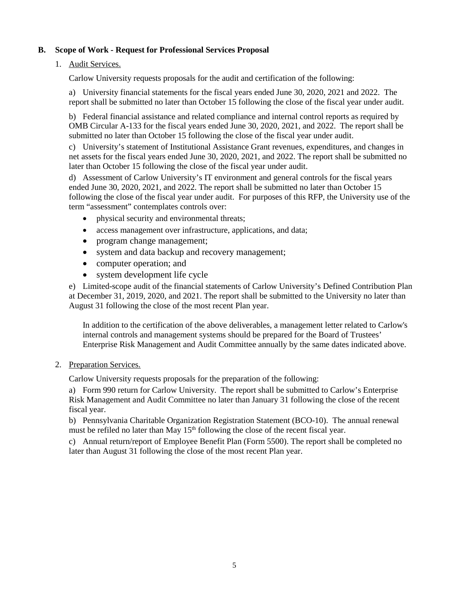# **B. Scope of Work - Request for Professional Services Proposal**

## <span id="page-4-0"></span>1. Audit Services.

Carlow University requests proposals for the audit and certification of the following:

a) University financial statements for the fiscal years ended June 30, 2020, 2021 and 2022. The report shall be submitted no later than October 15 following the close of the fiscal year under audit.

b) Federal financial assistance and related compliance and internal control reports as required by OMB Circular A-133 for the fiscal years ended June 30, 2020, 2021, and 2022. The report shall be submitted no later than October 15 following the close of the fiscal year under audit.

c) University's statement of Institutional Assistance Grant revenues, expenditures, and changes in net assets for the fiscal years ended June 30, 2020, 2021, and 2022. The report shall be submitted no later than October 15 following the close of the fiscal year under audit.

d) Assessment of Carlow University's IT environment and general controls for the fiscal years ended June 30, 2020, 2021, and 2022. The report shall be submitted no later than October 15 following the close of the fiscal year under audit. For purposes of this RFP, the University use of the term "assessment" contemplates controls over:

- physical security and environmental threats;
- access management over infrastructure, applications, and data;
- program change management;
- system and data backup and recovery management;
- computer operation; and
- system development life cycle

e) Limited-scope audit of the financial statements of Carlow University's Defined Contribution Plan at December 31, 2019, 2020, and 2021. The report shall be submitted to the University no later than August 31 following the close of the most recent Plan year.

In addition to the certification of the above deliverables, a management letter related to Carlow's internal controls and management systems should be prepared for the Board of Trustees' Enterprise Risk Management and Audit Committee annually by the same dates indicated above.

## 2. Preparation Services.

Carlow University requests proposals for the preparation of the following:

a) Form 990 return for Carlow University. The report shall be submitted to Carlow's Enterprise Risk Management and Audit Committee no later than January 31 following the close of the recent fiscal year.

b) Pennsylvania Charitable Organization Registration Statement (BCO-10). The annual renewal must be refiled no later than May 15<sup>th</sup> following the close of the recent fiscal year.

c) Annual return/report of Employee Benefit Plan (Form 5500). The report shall be completed no later than August 31 following the close of the most recent Plan year.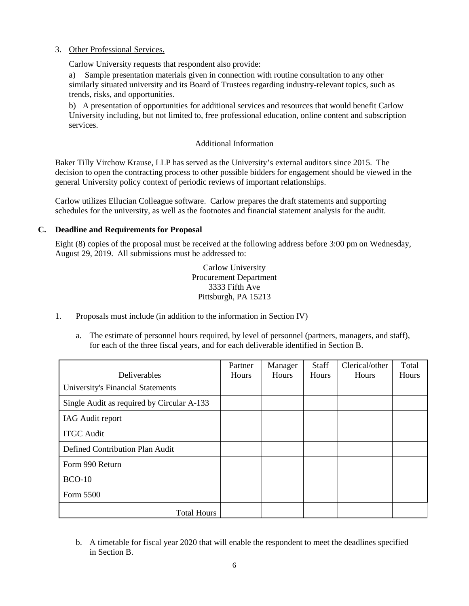#### 3. Other Professional Services.

Carlow University requests that respondent also provide:

a) Sample presentation materials given in connection with routine consultation to any other similarly situated university and its Board of Trustees regarding industry-relevant topics, such as trends, risks, and opportunities.

b) A presentation of opportunities for additional services and resources that would benefit Carlow University including, but not limited to, free professional education, online content and subscription services.

#### Additional Information

Baker Tilly Virchow Krause, LLP has served as the University's external auditors since 2015. The decision to open the contracting process to other possible bidders for engagement should be viewed in the general University policy context of periodic reviews of important relationships.

Carlow utilizes Ellucian Colleague software. Carlow prepares the draft statements and supporting schedules for the university, as well as the footnotes and financial statement analysis for the audit.

## **C. Deadline and Requirements for Proposal**

<span id="page-5-0"></span>Eight (8) copies of the proposal must be received at the following address before 3:00 pm on Wednesday, August 29, 2019. All submissions must be addressed to:

> Carlow University Procurement Department 3333 Fifth Ave Pittsburgh, PA 15213

- 1. Proposals must include (in addition to the information in Section IV)
	- a. The estimate of personnel hours required, by level of personnel (partners, managers, and staff), for each of the three fiscal years, and for each deliverable identified in Section B.

|                                            | Partner | Manager | <b>Staff</b> | Clerical/other | Total |
|--------------------------------------------|---------|---------|--------------|----------------|-------|
| Deliverables                               | Hours   | Hours   | Hours        | Hours          | Hours |
| University's Financial Statements          |         |         |              |                |       |
| Single Audit as required by Circular A-133 |         |         |              |                |       |
| <b>IAG</b> Audit report                    |         |         |              |                |       |
| <b>ITGC</b> Audit                          |         |         |              |                |       |
| Defined Contribution Plan Audit            |         |         |              |                |       |
| Form 990 Return                            |         |         |              |                |       |
| $BCO-10$                                   |         |         |              |                |       |
| Form 5500                                  |         |         |              |                |       |
| <b>Total Hours</b>                         |         |         |              |                |       |

b. A timetable for fiscal year 2020 that will enable the respondent to meet the deadlines specified in Section B.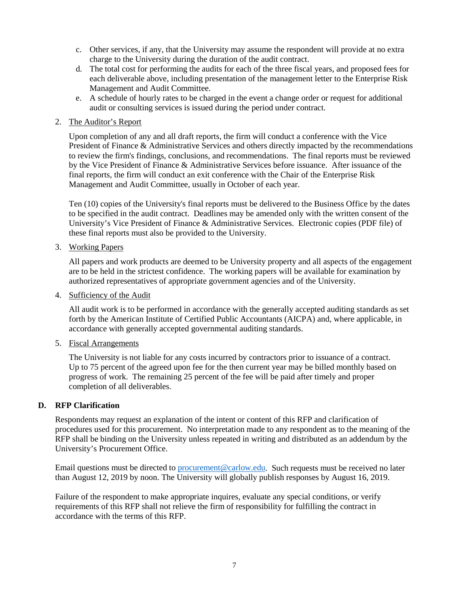- c. Other services, if any, that the University may assume the respondent will provide at no extra charge to the University during the duration of the audit contract.
- d. The total cost for performing the audits for each of the three fiscal years, and proposed fees for each deliverable above, including presentation of the management letter to the Enterprise Risk Management and Audit Committee.
- e. A schedule of hourly rates to be charged in the event a change order or request for additional audit or consulting services is issued during the period under contract.

#### 2. The Auditor's Report

Upon completion of any and all draft reports, the firm will conduct a conference with the Vice President of Finance & Administrative Services and others directly impacted by the recommendations to review the firm's findings, conclusions, and recommendations. The final reports must be reviewed by the Vice President of Finance & Administrative Services before issuance. After issuance of the final reports, the firm will conduct an exit conference with the Chair of the Enterprise Risk Management and Audit Committee, usually in October of each year.

Ten (10) copies of the University's final reports must be delivered to the Business Office by the dates to be specified in the audit contract. Deadlines may be amended only with the written consent of the University's Vice President of Finance & Administrative Services. Electronic copies (PDF file) of these final reports must also be provided to the University.

#### 3. Working Papers

All papers and work products are deemed to be University property and all aspects of the engagement are to be held in the strictest confidence. The working papers will be available for examination by authorized representatives of appropriate government agencies and of the University.

4. Sufficiency of the Audit

All audit work is to be performed in accordance with the generally accepted auditing standards as set forth by the American Institute of Certified Public Accountants (AICPA) and, where applicable, in accordance with generally accepted governmental auditing standards.

5. Fiscal Arrangements

The University is not liable for any costs incurred by contractors prior to issuance of a contract. Up to 75 percent of the agreed upon fee for the then current year may be billed monthly based on progress of work. The remaining 25 percent of the fee will be paid after timely and proper completion of all deliverables.

## <span id="page-6-0"></span>**D. RFP Clarification**

Respondents may request an explanation of the intent or content of this RFP and clarification of procedures used for this procurement. No interpretation made to any respondent as to the meaning of the RFP shall be binding on the University unless repeated in writing and distributed as an addendum by the University's Procurement Office.

Email questions must be directed to [procurement@carlow.edu.](mailto:procurement@carlow.edu) Such requests must be received no later than August 12, 2019 by noon. The University will globally publish responses by August 16, 2019.

Failure of the respondent to make appropriate inquires, evaluate any special conditions, or verify requirements of this RFP shall not relieve the firm of responsibility for fulfilling the contract in accordance with the terms of this RFP.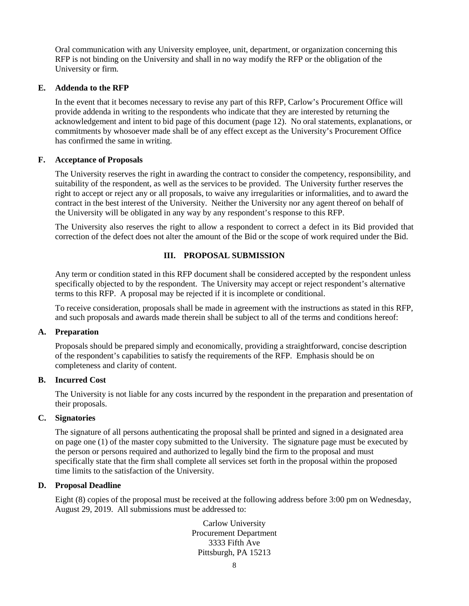Oral communication with any University employee, unit, department, or organization concerning this RFP is not binding on the University and shall in no way modify the RFP or the obligation of the University or firm.

## <span id="page-7-0"></span>**E. Addenda to the RFP**

In the event that it becomes necessary to revise any part of this RFP, Carlow's Procurement Office will provide addenda in writing to the respondents who indicate that they are interested by returning the acknowledgement and intent to bid page of this document (page 12). No oral statements, explanations, or commitments by whosoever made shall be of any effect except as the University's Procurement Office has confirmed the same in writing.

# <span id="page-7-1"></span>**F. Acceptance of Proposals**

The University reserves the right in awarding the contract to consider the competency, responsibility, and suitability of the respondent, as well as the services to be provided. The University further reserves the right to accept or reject any or all proposals, to waive any irregularities or informalities, and to award the contract in the best interest of the University. Neither the University nor any agent thereof on behalf of the University will be obligated in any way by any respondent's response to this RFP.

<span id="page-7-2"></span>The University also reserves the right to allow a respondent to correct a defect in its Bid provided that correction of the defect does not alter the amount of the Bid or the scope of work required under the Bid.

# **III. PROPOSAL SUBMISSION**

Any term or condition stated in this RFP document shall be considered accepted by the respondent unless specifically objected to by the respondent. The University may accept or reject respondent's alternative terms to this RFP. A proposal may be rejected if it is incomplete or conditional.

To receive consideration, proposals shall be made in agreement with the instructions as stated in this RFP, and such proposals and awards made therein shall be subject to all of the terms and conditions hereof:

## <span id="page-7-3"></span>**A. Preparation**

Proposals should be prepared simply and economically, providing a straightforward, concise description of the respondent's capabilities to satisfy the requirements of the RFP. Emphasis should be on completeness and clarity of content.

## <span id="page-7-4"></span>**B. Incurred Cost**

The University is not liable for any costs incurred by the respondent in the preparation and presentation of their proposals.

# <span id="page-7-5"></span>**C. Signatories**

The signature of all persons authenticating the proposal shall be printed and signed in a designated area on page one (1) of the master copy submitted to the University. The signature page must be executed by the person or persons required and authorized to legally bind the firm to the proposal and must specifically state that the firm shall complete all services set forth in the proposal within the proposed time limits to the satisfaction of the University.

# <span id="page-7-6"></span>**D. Proposal Deadline**

Eight (8) copies of the proposal must be received at the following address before 3:00 pm on Wednesday, August 29, 2019. All submissions must be addressed to:

> Carlow University Procurement Department 3333 Fifth Ave Pittsburgh, PA 15213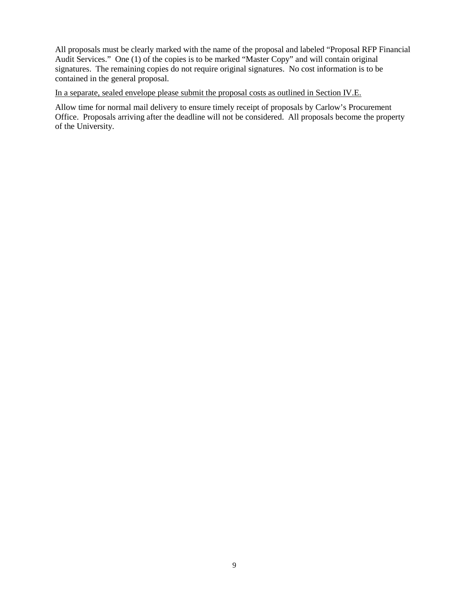All proposals must be clearly marked with the name of the proposal and labeled "Proposal RFP Financial Audit Services." One (1) of the copies is to be marked "Master Copy" and will contain original signatures. The remaining copies do not require original signatures. No cost information is to be contained in the general proposal.

In a separate, sealed envelope please submit the proposal costs as outlined in Section IV.E.

Allow time for normal mail delivery to ensure timely receipt of proposals by Carlow's Procurement Office. Proposals arriving after the deadline will not be considered. All proposals become the property of the University.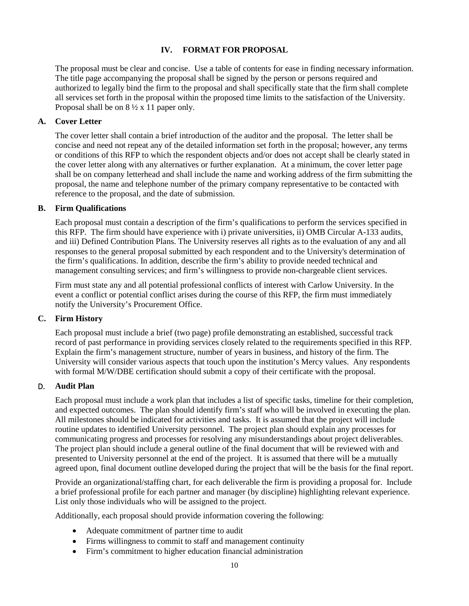# <span id="page-9-0"></span>**IV. FORMAT FOR PROPOSAL**

The proposal must be clear and concise. Use a table of contents for ease in finding necessary information. The title page accompanying the proposal shall be signed by the person or persons required and authorized to legally bind the firm to the proposal and shall specifically state that the firm shall complete all services set forth in the proposal within the proposed time limits to the satisfaction of the University. Proposal shall be on 8 ½ x 11 paper only.

## <span id="page-9-1"></span>**A. Cover Letter**

The cover letter shall contain a brief introduction of the auditor and the proposal. The letter shall be concise and need not repeat any of the detailed information set forth in the proposal; however, any terms or conditions of this RFP to which the respondent objects and/or does not accept shall be clearly stated in the cover letter along with any alternatives or further explanation. At a minimum, the cover letter page shall be on company letterhead and shall include the name and working address of the firm submitting the proposal, the name and telephone number of the primary company representative to be contacted with reference to the proposal, and the date of submission.

## **B. Firm Qualifications**

<span id="page-9-2"></span>Each proposal must contain a description of the firm's qualifications to perform the services specified in this RFP. The firm should have experience with i) private universities, ii) OMB Circular A-133 audits, and iii) Defined Contribution Plans. The University reserves all rights as to the evaluation of any and all responses to the general proposal submitted by each respondent and to the University's determination of the firm's qualifications. In addition, describe the firm's ability to provide needed technical and management consulting services; and firm's willingness to provide non-chargeable client services.

Firm must state any and all potential professional conflicts of interest with Carlow University. In the event a conflict or potential conflict arises during the course of this RFP, the firm must immediately notify the University's Procurement Office.

## **C. Firm History**

<span id="page-9-3"></span>Each proposal must include a brief (two page) profile demonstrating an established, successful track record of past performance in providing services closely related to the requirements specified in this RFP. Explain the firm's management structure, number of years in business, and history of the firm. The University will consider various aspects that touch upon the institution's Mercy values. Any respondents with formal M/W/DBE certification should submit a copy of their certificate with the proposal.

## D. **Audit Plan**

<span id="page-9-4"></span>Each proposal must include a work plan that includes a list of specific tasks, timeline for their completion, and expected outcomes. The plan should identify firm's staff who will be involved in executing the plan. All milestones should be indicated for activities and tasks. It is assumed that the project will include routine updates to identified University personnel. The project plan should explain any processes for communicating progress and processes for resolving any misunderstandings about project deliverables. The project plan should include a general outline of the final document that will be reviewed with and presented to University personnel at the end of the project. It is assumed that there will be a mutually agreed upon, final document outline developed during the project that will be the basis for the final report.

Provide an organizational/staffing chart, for each deliverable the firm is providing a proposal for. Include a brief professional profile for each partner and manager (by discipline) highlighting relevant experience. List only those individuals who will be assigned to the project.

Additionally, each proposal should provide information covering the following:

- Adequate commitment of partner time to audit
- Firms willingness to commit to staff and management continuity
- Firm's commitment to higher education financial administration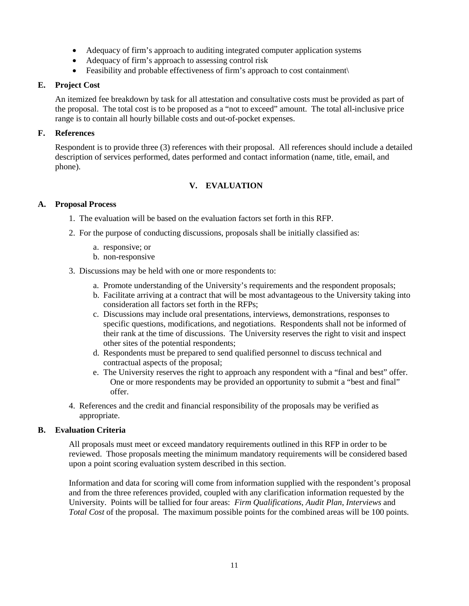- Adequacy of firm's approach to auditing integrated computer application systems
- Adequacy of firm's approach to assessing control risk
- Feasibility and probable effectiveness of firm's approach to cost containment\

## <span id="page-10-0"></span>**E. Project Cost**

An itemized fee breakdown by task for all attestation and consultative costs must be provided as part of the proposal. The total cost is to be proposed as a "not to exceed" amount. The total all-inclusive price range is to contain all hourly billable costs and out-of-pocket expenses.

# <span id="page-10-1"></span>**F. References**

<span id="page-10-2"></span>Respondent is to provide three (3) references with their proposal. All references should include a detailed description of services performed, dates performed and contact information (name, title, email, and phone).

# **V. EVALUATION**

# <span id="page-10-3"></span>**A. Proposal Process**

- 1. The evaluation will be based on the evaluation factors set forth in this RFP.
- 2. For the purpose of conducting discussions, proposals shall be initially classified as:
	- a. responsive; or
	- b. non-responsive

3. Discussions may be held with one or more respondents to:

- a. Promote understanding of the University's requirements and the respondent proposals;
- b. Facilitate arriving at a contract that will be most advantageous to the University taking into consideration all factors set forth in the RFPs;
- c. Discussions may include oral presentations, interviews, demonstrations, responses to specific questions, modifications, and negotiations. Respondents shall not be informed of their rank at the time of discussions. The University reserves the right to visit and inspect other sites of the potential respondents;
- d. Respondents must be prepared to send qualified personnel to discuss technical and contractual aspects of the proposal;
- e. The University reserves the right to approach any respondent with a "final and best" offer. One or more respondents may be provided an opportunity to submit a "best and final" offer.
- 4. References and the credit and financial responsibility of the proposals may be verified as appropriate.

# <span id="page-10-4"></span>**B. Evaluation Criteria**

All proposals must meet or exceed mandatory requirements outlined in this RFP in order to be reviewed. Those proposals meeting the minimum mandatory requirements will be considered based upon a point scoring evaluation system described in this section.

Information and data for scoring will come from information supplied with the respondent's proposal and from the three references provided, coupled with any clarification information requested by the University. Points will be tallied for four areas: *Firm Qualifications*, *Audit Plan*, *Interviews* and *Total Cost* of the proposal. The maximum possible points for the combined areas will be 100 points.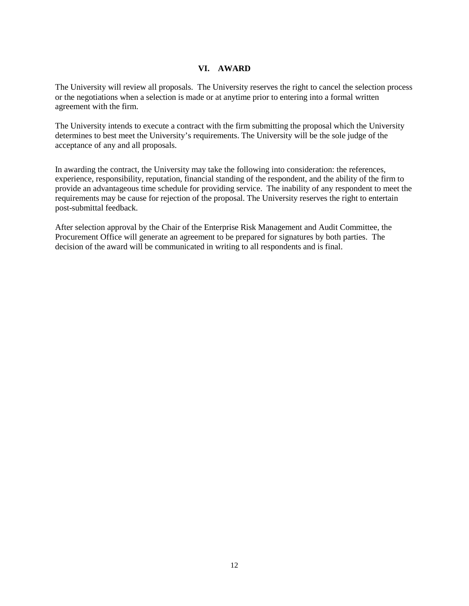# **VI. AWARD**

<span id="page-11-0"></span>The University will review all proposals. The University reserves the right to cancel the selection process or the negotiations when a selection is made or at anytime prior to entering into a formal written agreement with the firm.

The University intends to execute a contract with the firm submitting the proposal which the University determines to best meet the University's requirements. The University will be the sole judge of the acceptance of any and all proposals.

In awarding the contract, the University may take the following into consideration: the references, experience, responsibility, reputation, financial standing of the respondent, and the ability of the firm to provide an advantageous time schedule for providing service. The inability of any respondent to meet the requirements may be cause for rejection of the proposal. The University reserves the right to entertain post-submittal feedback.

After selection approval by the Chair of the Enterprise Risk Management and Audit Committee, the Procurement Office will generate an agreement to be prepared for signatures by both parties. The decision of the award will be communicated in writing to all respondents and is final.